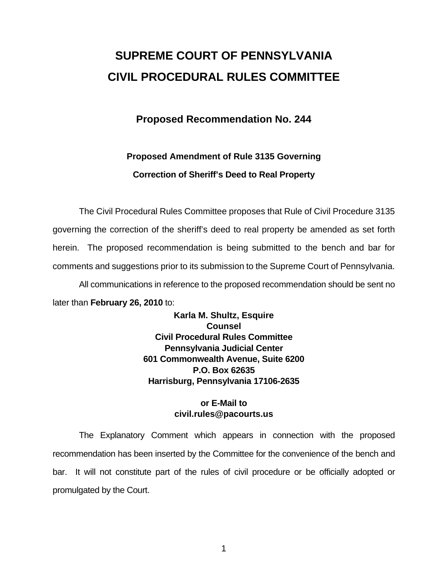# **SUPREME COURT OF PENNSYLVANIA CIVIL PROCEDURAL RULES COMMITTEE**

# **Proposed Recommendation No. 244**

# **Proposed Amendment of Rule 3135 Governing Correction of Sheriff's Deed to Real Property**

 The Civil Procedural Rules Committee proposes that Rule of Civil Procedure 3135 governing the correction of the sheriff's deed to real property be amended as set forth herein. The proposed recommendation is being submitted to the bench and bar for comments and suggestions prior to its submission to the Supreme Court of Pennsylvania. All communications in reference to the proposed recommendation should be sent no

later than **February 26, 2010** to:

**Karla M. Shultz, Esquire Counsel Civil Procedural Rules Committee Pennsylvania Judicial Center 601 Commonwealth Avenue, Suite 6200 P.O. Box 62635 Harrisburg, Pennsylvania 17106-2635** 

## **or E-Mail to civil.rules@pacourts.us**

 The Explanatory Comment which appears in connection with the proposed recommendation has been inserted by the Committee for the convenience of the bench and bar. It will not constitute part of the rules of civil procedure or be officially adopted or promulgated by the Court.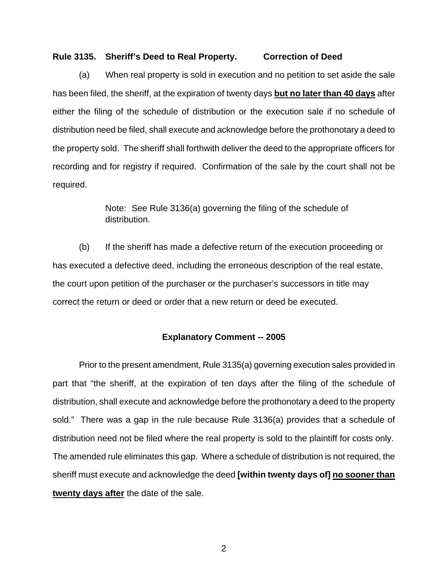#### **Rule 3135. Sheriff's Deed to Real Property. Correction of Deed**

(a) When real property is sold in execution and no petition to set aside the sale has been filed, the sheriff, at the expiration of twenty days **but no later than 40 days** after either the filing of the schedule of distribution or the execution sale if no schedule of distribution need be filed, shall execute and acknowledge before the prothonotary a deed to the property sold. The sheriff shall forthwith deliver the deed to the appropriate officers for recording and for registry if required. Confirmation of the sale by the court shall not be required.

> Note: See Rule 3136(a) governing the filing of the schedule of distribution.

(b) If the sheriff has made a defective return of the execution proceeding or has executed a defective deed, including the erroneous description of the real estate, the court upon petition of the purchaser or the purchaser's successors in title may correct the return or deed or order that a new return or deed be executed.

### **Explanatory Comment -- 2005**

Prior to the present amendment, Rule 3135(a) governing execution sales provided in part that "the sheriff, at the expiration of ten days after the filing of the schedule of distribution, shall execute and acknowledge before the prothonotary a deed to the property sold." There was a gap in the rule because Rule 3136(a) provides that a schedule of distribution need not be filed where the real property is sold to the plaintiff for costs only. The amended rule eliminates this gap. Where a schedule of distribution is not required, the sheriff must execute and acknowledge the deed **[within twenty days of] no sooner than twenty days after** the date of the sale.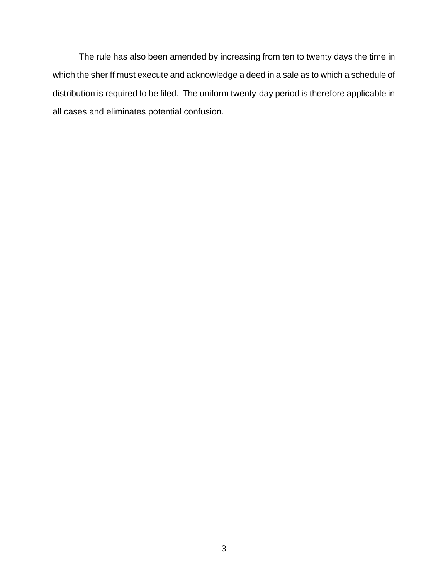The rule has also been amended by increasing from ten to twenty days the time in which the sheriff must execute and acknowledge a deed in a sale as to which a schedule of distribution is required to be filed. The uniform twenty-day period is therefore applicable in all cases and eliminates potential confusion.